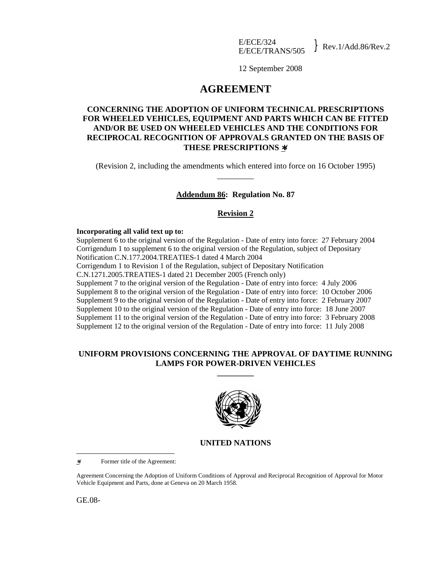12 September 2008

# **AGREEMENT**

# **CONCERNING THE ADOPTION OF UNIFORM TECHNICAL PRESCRIPTIONS FOR WHEELED VEHICLES, EQUIPMENT AND PARTS WHICH CAN BE FITTED AND/OR BE USED ON WHEELED VEHICLES AND THE CONDITIONS FOR RECIPROCAL RECOGNITION OF APPROVALS GRANTED ON THE BASIS OF THESE PRESCRIPTIONS** ∗**/**

(Revision 2, including the amendments which entered into force on 16 October 1995) \_\_\_\_\_\_\_\_\_

## **Addendum 86: Regulation No. 87**

### **Revision 2**

### **Incorporating all valid text up to:**

Supplement 6 to the original version of the Regulation - Date of entry into force: 27 February 2004 Corrigendum 1 to supplement 6 to the original version of the Regulation, subject of Depositary Notification C.N.177.2004.TREATIES-1 dated 4 March 2004 Corrigendum 1 to Revision 1 of the Regulation, subject of Depositary Notification C.N.1271.2005.TREATIES-1 dated 21 December 2005 (French only) Supplement 7 to the original version of the Regulation - Date of entry into force: 4 July 2006 Supplement 8 to the original version of the Regulation - Date of entry into force: 10 October 2006 Supplement 9 to the original version of the Regulation - Date of entry into force: 2 February 2007 Supplement 10 to the original version of the Regulation - Date of entry into force: 18 June 2007 Supplement 11 to the original version of the Regulation - Date of entry into force: 3 February 2008 Supplement 12 to the original version of the Regulation - Date of entry into force: 11 July 2008

# **UNIFORM PROVISIONS CONCERNING THE APPROVAL OF DAYTIME RUNNING LAMPS FOR POWER-DRIVEN VEHICLES**

**\_\_\_\_\_\_\_\_\_** 



## **UNITED NATIONS**

∗/ Former title of the Agreement:

Agreement Concerning the Adoption of Uniform Conditions of Approval and Reciprocal Recognition of Approval for Motor Vehicle Equipment and Parts, done at Geneva on 20 March 1958.

GE.08-

 $\overline{a}$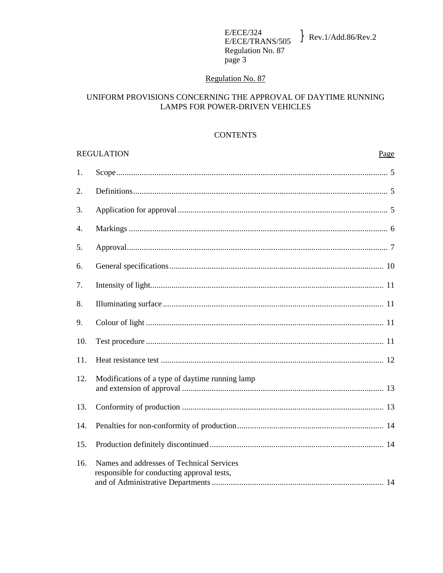# Regulation No. 87

# UNIFORM PROVISIONS CONCERNING THE APPROVAL OF DAYTIME RUNNING LAMPS FOR POWER-DRIVEN VEHICLES

### **CONTENTS**

|     | <b>REGULATION</b><br>Page                                                               |
|-----|-----------------------------------------------------------------------------------------|
| 1.  |                                                                                         |
| 2.  |                                                                                         |
| 3.  |                                                                                         |
| 4.  |                                                                                         |
| 5.  |                                                                                         |
| 6.  |                                                                                         |
| 7.  |                                                                                         |
| 8.  |                                                                                         |
| 9.  |                                                                                         |
| 10. |                                                                                         |
| 11. |                                                                                         |
| 12. | Modifications of a type of daytime running lamp                                         |
| 13. |                                                                                         |
| 14. |                                                                                         |
| 15. |                                                                                         |
| 16. | Names and addresses of Technical Services<br>responsible for conducting approval tests, |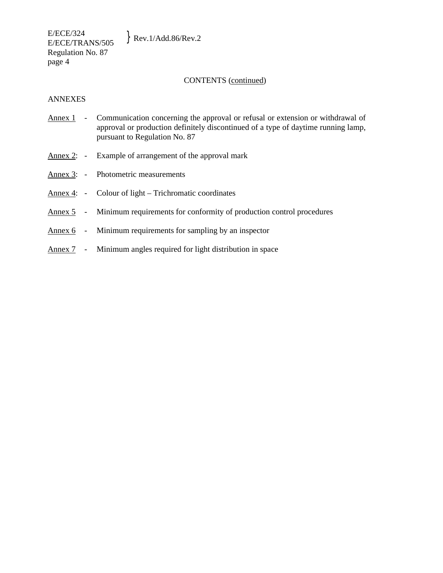E/ECE/324  $E/ECE/324$ <br>E/ECE/TRANS/505 Rev.1/Add.86/Rev.2 Regulation No. 87 page 4

### CONTENTS (continued)

### ANNEXES

- Annex 1 Communication concerning the approval or refusal or extension or withdrawal of approval or production definitely discontinued of a type of daytime running lamp, pursuant to Regulation No. 87
- Annex 2: Example of arrangement of the approval mark
- Annex 3: Photometric measurements
- Annex 4: Colour of light Trichromatic coordinates
- Annex 5 Minimum requirements for conformity of production control procedures
- Annex 6 Minimum requirements for sampling by an inspector
- Annex 7 Minimum angles required for light distribution in space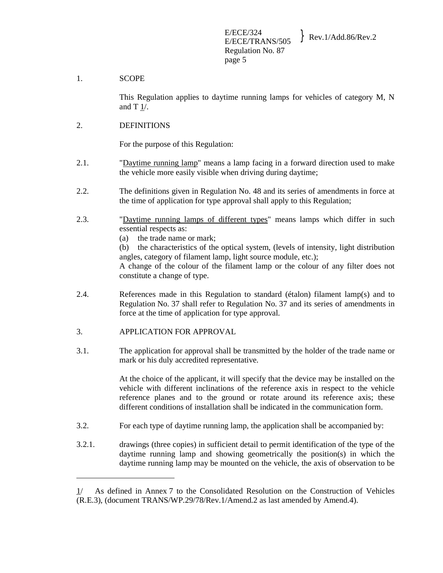## 1. SCOPE

 This Regulation applies to daytime running lamps for vehicles of category M, N and T 1/.

# 2. DEFINITIONS

For the purpose of this Regulation:

- 2.1. "Daytime running lamp" means a lamp facing in a forward direction used to make the vehicle more easily visible when driving during daytime;
- 2.2. The definitions given in Regulation No. 48 and its series of amendments in force at the time of application for type approval shall apply to this Regulation;
- 2.3. "Daytime running lamps of different types" means lamps which differ in such essential respects as:
	- (a) the trade name or mark;

 (b) the characteristics of the optical system, (levels of intensity, light distribution angles, category of filament lamp, light source module, etc.);

 A change of the colour of the filament lamp or the colour of any filter does not constitute a change of type.

- 2.4. References made in this Regulation to standard (étalon) filament lamp(s) and to Regulation No. 37 shall refer to Regulation No. 37 and its series of amendments in force at the time of application for type approval.
- 3. APPLICATION FOR APPROVAL

 $\overline{a}$ 

3.1. The application for approval shall be transmitted by the holder of the trade name or mark or his duly accredited representative.

> At the choice of the applicant, it will specify that the device may be installed on the vehicle with different inclinations of the reference axis in respect to the vehicle reference planes and to the ground or rotate around its reference axis; these different conditions of installation shall be indicated in the communication form.

- 3.2. For each type of daytime running lamp, the application shall be accompanied by:
- 3.2.1. drawings (three copies) in sufficient detail to permit identification of the type of the daytime running lamp and showing geometrically the position(s) in which the daytime running lamp may be mounted on the vehicle, the axis of observation to be

<sup>1/</sup> As defined in Annex 7 to the Consolidated Resolution on the Construction of Vehicles (R.E.3), (document TRANS/WP.29/78/Rev.1/Amend.2 as last amended by Amend.4).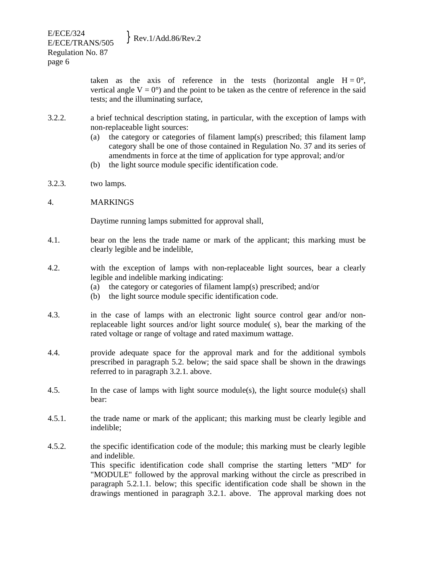taken as the axis of reference in the tests (horizontal angle  $H = 0^\circ$ , vertical angle  $V = 0^{\circ}$  and the point to be taken as the centre of reference in the said tests; and the illuminating surface,

- 3.2.2. a brief technical description stating, in particular, with the exception of lamps with non-replaceable light sources:
	- (a) the category or categories of filament lamp(s) prescribed; this filament lamp category shall be one of those contained in Regulation No. 37 and its series of amendments in force at the time of application for type approval; and/or
	- (b) the light source module specific identification code.
- 3.2.3. two lamps.
- 4. MARKINGS

Daytime running lamps submitted for approval shall,

- 4.1. bear on the lens the trade name or mark of the applicant; this marking must be clearly legible and be indelible,
- 4.2. with the exception of lamps with non-replaceable light sources, bear a clearly legible and indelible marking indicating:
	- (a) the category or categories of filament lamp(s) prescribed; and/or
	- (b) the light source module specific identification code.
- 4.3. in the case of lamps with an electronic light source control gear and/or nonreplaceable light sources and/or light source module( s), bear the marking of the rated voltage or range of voltage and rated maximum wattage.
- 4.4. provide adequate space for the approval mark and for the additional symbols prescribed in paragraph 5.2. below; the said space shall be shown in the drawings referred to in paragraph 3.2.1. above.
- 4.5. In the case of lamps with light source module(s), the light source module(s) shall bear:
- 4.5.1. the trade name or mark of the applicant; this marking must be clearly legible and indelible;
- 4.5.2. the specific identification code of the module; this marking must be clearly legible and indelible. This specific identification code shall comprise the starting letters "MD" for "MODULE" followed by the approval marking without the circle as prescribed in paragraph 5.2.1.1. below; this specific identification code shall be shown in the drawings mentioned in paragraph 3.2.1. above. The approval marking does not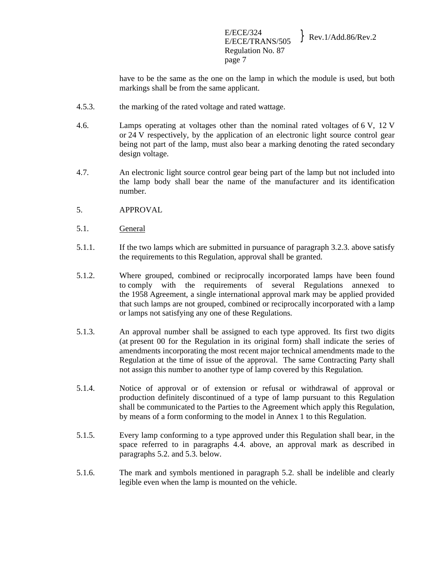E/ECE/324  $E/ECE/324$ <br>E/ECE/TRANS/505 Rev.1/Add.86/Rev.2 Regulation No. 87 page 7

have to be the same as the one on the lamp in which the module is used, but both markings shall be from the same applicant.

- 4.5.3. the marking of the rated voltage and rated wattage.
- 4.6. Lamps operating at voltages other than the nominal rated voltages of 6 V, 12 V or 24 V respectively, by the application of an electronic light source control gear being not part of the lamp, must also bear a marking denoting the rated secondary design voltage.
- 4.7. An electronic light source control gear being part of the lamp but not included into the lamp body shall bear the name of the manufacturer and its identification number.
- 5. APPROVAL
- 5.1. General
- 5.1.1. If the two lamps which are submitted in pursuance of paragraph 3.2.3. above satisfy the requirements to this Regulation, approval shall be granted.
- 5.1.2. Where grouped, combined or reciprocally incorporated lamps have been found to comply with the requirements of several Regulations annexed to the 1958 Agreement, a single international approval mark may be applied provided that such lamps are not grouped, combined or reciprocally incorporated with a lamp or lamps not satisfying any one of these Regulations.
- 5.1.3. An approval number shall be assigned to each type approved. Its first two digits (at present 00 for the Regulation in its original form) shall indicate the series of amendments incorporating the most recent major technical amendments made to the Regulation at the time of issue of the approval. The same Contracting Party shall not assign this number to another type of lamp covered by this Regulation.
- 5.1.4. Notice of approval or of extension or refusal or withdrawal of approval or production definitely discontinued of a type of lamp pursuant to this Regulation shall be communicated to the Parties to the Agreement which apply this Regulation, by means of a form conforming to the model in Annex 1 to this Regulation.
- 5.1.5. Every lamp conforming to a type approved under this Regulation shall bear, in the space referred to in paragraphs 4.4. above, an approval mark as described in paragraphs 5.2. and 5.3. below.
- 5.1.6. The mark and symbols mentioned in paragraph 5.2. shall be indelible and clearly legible even when the lamp is mounted on the vehicle.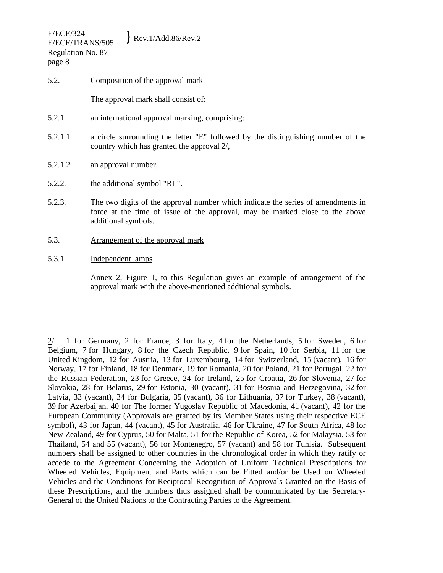5.2. Composition of the approval mark

The approval mark shall consist of:

- 5.2.1. an international approval marking, comprising:
- 5.2.1.1. a circle surrounding the letter "E" followed by the distinguishing number of the country which has granted the approval 2/,
- 5.2.1.2. an approval number,
- 5.2.2. the additional symbol "RL".
- 5.2.3. The two digits of the approval number which indicate the series of amendments in force at the time of issue of the approval, may be marked close to the above additional symbols.
- 5.3. Arrangement of the approval mark
- 5.3.1. Independent lamps

-

 Annex 2, Figure 1, to this Regulation gives an example of arrangement of the approval mark with the above-mentioned additional symbols.

 $2/$  1 for Germany, 2 for France, 3 for Italy, 4 for the Netherlands, 5 for Sweden, 6 for Belgium, 7 for Hungary, 8 for the Czech Republic, 9 for Spain, 10 for Serbia, 11 for the United Kingdom, 12 for Austria, 13 for Luxembourg, 14 for Switzerland, 15 (vacant), 16 for Norway, 17 for Finland, 18 for Denmark, 19 for Romania, 20 for Poland, 21 for Portugal, 22 for the Russian Federation, 23 for Greece, 24 for Ireland, 25 for Croatia, 26 for Slovenia, 27 for Slovakia, 28 for Belarus, 29 for Estonia, 30 (vacant), 31 for Bosnia and Herzegovina, 32 for Latvia, 33 (vacant), 34 for Bulgaria, 35 (vacant), 36 for Lithuania, 37 for Turkey, 38 (vacant), 39 for Azerbaijan, 40 for The former Yugoslav Republic of Macedonia, 41 (vacant), 42 for the European Community (Approvals are granted by its Member States using their respective ECE symbol), 43 for Japan, 44 (vacant), 45 for Australia, 46 for Ukraine, 47 for South Africa, 48 for New Zealand, 49 for Cyprus, 50 for Malta, 51 for the Republic of Korea, 52 for Malaysia, 53 for Thailand, 54 and 55 (vacant), 56 for Montenegro, 57 (vacant) and 58 for Tunisia. Subsequent numbers shall be assigned to other countries in the chronological order in which they ratify or accede to the Agreement Concerning the Adoption of Uniform Technical Prescriptions for Wheeled Vehicles, Equipment and Parts which can be Fitted and/or be Used on Wheeled Vehicles and the Conditions for Reciprocal Recognition of Approvals Granted on the Basis of these Prescriptions, and the numbers thus assigned shall be communicated by the Secretary-General of the United Nations to the Contracting Parties to the Agreement.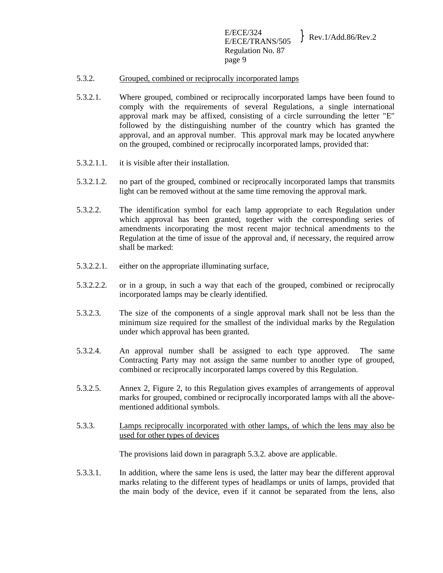### 5.3.2. Grouped, combined or reciprocally incorporated lamps

- 5.3.2.1. Where grouped, combined or reciprocally incorporated lamps have been found to comply with the requirements of several Regulations, a single international approval mark may be affixed, consisting of a circle surrounding the letter "E" followed by the distinguishing number of the country which has granted the approval, and an approval number. This approval mark may be located anywhere on the grouped, combined or reciprocally incorporated lamps, provided that:
- 5.3.2.1.1. it is visible after their installation.
- 5.3.2.1.2. no part of the grouped, combined or reciprocally incorporated lamps that transmits light can be removed without at the same time removing the approval mark.
- 5.3.2.2. The identification symbol for each lamp appropriate to each Regulation under which approval has been granted, together with the corresponding series of amendments incorporating the most recent major technical amendments to the Regulation at the time of issue of the approval and, if necessary, the required arrow shall be marked:
- 5.3.2.2.1. either on the appropriate illuminating surface,
- 5.3.2.2.2. or in a group, in such a way that each of the grouped, combined or reciprocally incorporated lamps may be clearly identified.
- 5.3.2.3. The size of the components of a single approval mark shall not be less than the minimum size required for the smallest of the individual marks by the Regulation under which approval has been granted.
- 5.3.2.4. An approval number shall be assigned to each type approved. The same Contracting Party may not assign the same number to another type of grouped, combined or reciprocally incorporated lamps covered by this Regulation.
- 5.3.2.5. Annex 2, Figure 2, to this Regulation gives examples of arrangements of approval marks for grouped, combined or reciprocally incorporated lamps with all the abovementioned additional symbols.
- 5.3.3. Lamps reciprocally incorporated with other lamps, of which the lens may also be used for other types of devices

The provisions laid down in paragraph 5.3.2. above are applicable.

5.3.3.1. In addition, where the same lens is used, the latter may bear the different approval marks relating to the different types of headlamps or units of lamps, provided that the main body of the device, even if it cannot be separated from the lens, also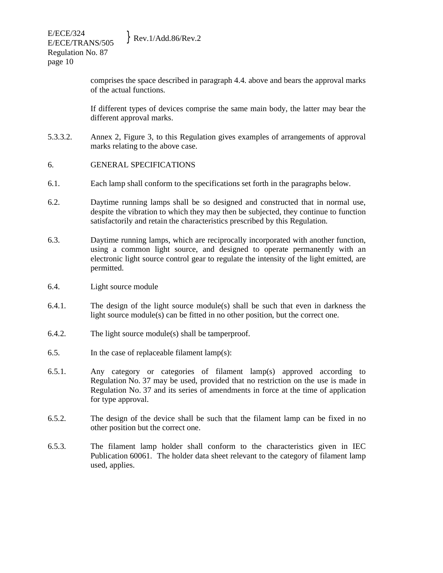comprises the space described in paragraph 4.4. above and bears the approval marks of the actual functions.

 If different types of devices comprise the same main body, the latter may bear the different approval marks.

- 5.3.3.2. Annex 2, Figure 3, to this Regulation gives examples of arrangements of approval marks relating to the above case.
- 6. GENERAL SPECIFICATIONS
- 6.1. Each lamp shall conform to the specifications set forth in the paragraphs below.
- 6.2. Daytime running lamps shall be so designed and constructed that in normal use, despite the vibration to which they may then be subjected, they continue to function satisfactorily and retain the characteristics prescribed by this Regulation.
- 6.3. Daytime running lamps, which are reciprocally incorporated with another function, using a common light source, and designed to operate permanently with an electronic light source control gear to regulate the intensity of the light emitted, are permitted.
- 6.4. Light source module
- 6.4.1. The design of the light source module(s) shall be such that even in darkness the light source module(s) can be fitted in no other position, but the correct one.
- 6.4.2. The light source module(s) shall be tamperproof.
- 6.5. In the case of replaceable filament lamp(s):
- 6.5.1. Any category or categories of filament lamp(s) approved according to Regulation No. 37 may be used, provided that no restriction on the use is made in Regulation No. 37 and its series of amendments in force at the time of application for type approval.
- 6.5.2. The design of the device shall be such that the filament lamp can be fixed in no other position but the correct one.
- 6.5.3. The filament lamp holder shall conform to the characteristics given in IEC Publication 60061. The holder data sheet relevant to the category of filament lamp used, applies.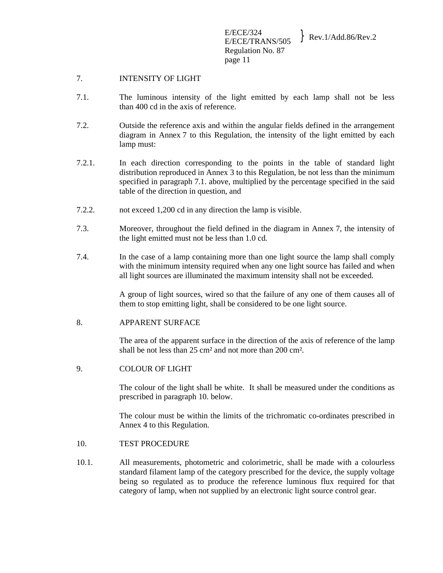## 7. INTENSITY OF LIGHT

- 7.1. The luminous intensity of the light emitted by each lamp shall not be less than 400 cd in the axis of reference.
- 7.2. Outside the reference axis and within the angular fields defined in the arrangement diagram in Annex 7 to this Regulation, the intensity of the light emitted by each lamp must:
- 7.2.1. In each direction corresponding to the points in the table of standard light distribution reproduced in Annex 3 to this Regulation, be not less than the minimum specified in paragraph 7.1. above, multiplied by the percentage specified in the said table of the direction in question, and
- 7.2.2. not exceed 1,200 cd in any direction the lamp is visible.
- 7.3. Moreover, throughout the field defined in the diagram in Annex 7, the intensity of the light emitted must not be less than 1.0 cd.
- 7.4. In the case of a lamp containing more than one light source the lamp shall comply with the minimum intensity required when any one light source has failed and when all light sources are illuminated the maximum intensity shall not be exceeded.

 A group of light sources, wired so that the failure of any one of them causes all of them to stop emitting light, shall be considered to be one light source.

8. APPARENT SURFACE

 The area of the apparent surface in the direction of the axis of reference of the lamp shall be not less than 25 cm² and not more than 200 cm².

9. COLOUR OF LIGHT

 The colour of the light shall be white. It shall be measured under the conditions as prescribed in paragraph 10. below.

 The colour must be within the limits of the trichromatic co-ordinates prescribed in Annex 4 to this Regulation.

- 10. TEST PROCEDURE
- 10.1. All measurements, photometric and colorimetric, shall be made with a colourless standard filament lamp of the category prescribed for the device, the supply voltage being so regulated as to produce the reference luminous flux required for that category of lamp, when not supplied by an electronic light source control gear.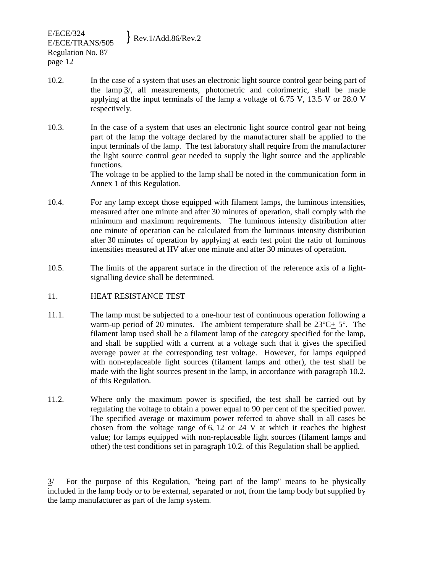- 10.2. In the case of a system that uses an electronic light source control gear being part of the lamp 3/, all measurements, photometric and colorimetric, shall be made applying at the input terminals of the lamp a voltage of 6.75 V, 13.5 V or 28.0 V respectively.
- 10.3. In the case of a system that uses an electronic light source control gear not being part of the lamp the voltage declared by the manufacturer shall be applied to the input terminals of the lamp. The test laboratory shall require from the manufacturer the light source control gear needed to supply the light source and the applicable functions. The voltage to be applied to the lamp shall be noted in the communication form in Annex 1 of this Regulation.
- 10.4. For any lamp except those equipped with filament lamps, the luminous intensities, measured after one minute and after 30 minutes of operation, shall comply with the minimum and maximum requirements. The luminous intensity distribution after one minute of operation can be calculated from the luminous intensity distribution after 30 minutes of operation by applying at each test point the ratio of luminous intensities measured at HV after one minute and after 30 minutes of operation.
- 10.5. The limits of the apparent surface in the direction of the reference axis of a lightsignalling device shall be determined.
- 11. HEAT RESISTANCE TEST

-

- 11.1. The lamp must be subjected to a one-hour test of continuous operation following a warm-up period of 20 minutes. The ambient temperature shall be  $23^{\circ}C + 5^{\circ}$ . The filament lamp used shall be a filament lamp of the category specified for the lamp, and shall be supplied with a current at a voltage such that it gives the specified average power at the corresponding test voltage. However, for lamps equipped with non-replaceable light sources (filament lamps and other), the test shall be made with the light sources present in the lamp, in accordance with paragraph 10.2. of this Regulation.
- 11.2. Where only the maximum power is specified, the test shall be carried out by regulating the voltage to obtain a power equal to 90 per cent of the specified power. The specified average or maximum power referred to above shall in all cases be chosen from the voltage range of 6, 12 or 24 V at which it reaches the highest value; for lamps equipped with non-replaceable light sources (filament lamps and other) the test conditions set in paragraph 10.2. of this Regulation shall be applied.

<sup>3/</sup> For the purpose of this Regulation, "being part of the lamp" means to be physically included in the lamp body or to be external, separated or not, from the lamp body but supplied by the lamp manufacturer as part of the lamp system.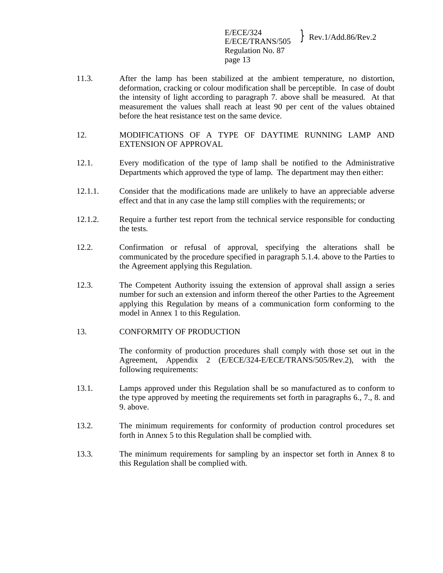E/ECE/324  $E/ECE/324$ <br>E/ECE/TRANS/505 Rev.1/Add.86/Rev.2 Regulation No. 87 page 13

- 11.3. After the lamp has been stabilized at the ambient temperature, no distortion, deformation, cracking or colour modification shall be perceptible. In case of doubt the intensity of light according to paragraph 7. above shall be measured. At that measurement the values shall reach at least 90 per cent of the values obtained before the heat resistance test on the same device.
- 12. MODIFICATIONS OF A TYPE OF DAYTIME RUNNING LAMP AND EXTENSION OF APPROVAL
- 12.1. Every modification of the type of lamp shall be notified to the Administrative Departments which approved the type of lamp. The department may then either:
- 12.1.1. Consider that the modifications made are unlikely to have an appreciable adverse effect and that in any case the lamp still complies with the requirements; or
- 12.1.2. Require a further test report from the technical service responsible for conducting the tests.
- 12.2. Confirmation or refusal of approval, specifying the alterations shall be communicated by the procedure specified in paragraph 5.1.4. above to the Parties to the Agreement applying this Regulation.
- 12.3. The Competent Authority issuing the extension of approval shall assign a series number for such an extension and inform thereof the other Parties to the Agreement applying this Regulation by means of a communication form conforming to the model in Annex 1 to this Regulation.
- 13. CONFORMITY OF PRODUCTION

 The conformity of production procedures shall comply with those set out in the Agreement, Appendix 2 (E/ECE/324-E/ECE/TRANS/505/Rev.2), with the following requirements:

- 13.1. Lamps approved under this Regulation shall be so manufactured as to conform to the type approved by meeting the requirements set forth in paragraphs 6., 7., 8. and 9. above.
- 13.2. The minimum requirements for conformity of production control procedures set forth in Annex 5 to this Regulation shall be complied with.
- 13.3. The minimum requirements for sampling by an inspector set forth in Annex 8 to this Regulation shall be complied with.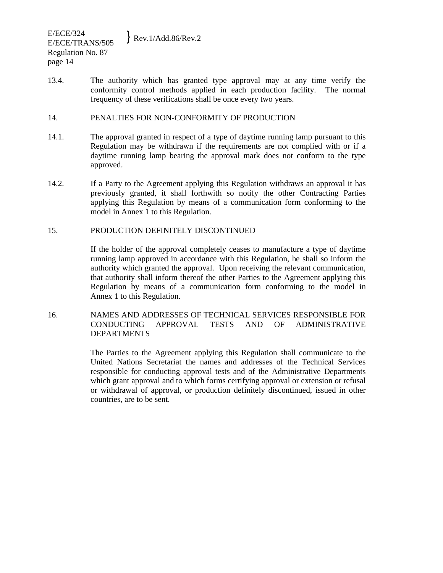13.4. The authority which has granted type approval may at any time verify the conformity control methods applied in each production facility. The normal frequency of these verifications shall be once every two years.

## 14. PENALTIES FOR NON-CONFORMITY OF PRODUCTION

- 14.1. The approval granted in respect of a type of daytime running lamp pursuant to this Regulation may be withdrawn if the requirements are not complied with or if a daytime running lamp bearing the approval mark does not conform to the type approved.
- 14.2. If a Party to the Agreement applying this Regulation withdraws an approval it has previously granted, it shall forthwith so notify the other Contracting Parties applying this Regulation by means of a communication form conforming to the model in Annex 1 to this Regulation.

# 15. PRODUCTION DEFINITELY DISCONTINUED

 If the holder of the approval completely ceases to manufacture a type of daytime running lamp approved in accordance with this Regulation, he shall so inform the authority which granted the approval. Upon receiving the relevant communication, that authority shall inform thereof the other Parties to the Agreement applying this Regulation by means of a communication form conforming to the model in Annex 1 to this Regulation.

16. NAMES AND ADDRESSES OF TECHNICAL SERVICES RESPONSIBLE FOR CONDUCTING APPROVAL TESTS AND OF ADMINISTRATIVE DEPARTMENTS

> The Parties to the Agreement applying this Regulation shall communicate to the United Nations Secretariat the names and addresses of the Technical Services responsible for conducting approval tests and of the Administrative Departments which grant approval and to which forms certifying approval or extension or refusal or withdrawal of approval, or production definitely discontinued, issued in other countries, are to be sent.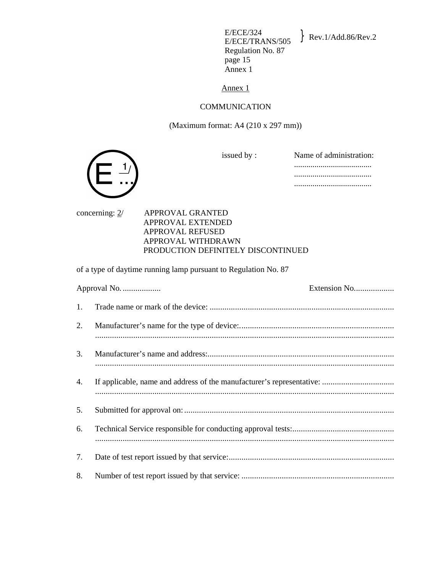E/ECE/324<br>E/ECE/TRANS/505 Regulation No. 87 page 15 Annex 1

 $\text{Rev.1/Add.86/Rev.2}$ 

Annex 1

### COMMUNICATION

(Maximum format: A4 (210 x 297 mm))



issued by : Name of administration: ...................................... ...................................... ......................................

concerning: 2/ APPROVAL GRANTED APPROVAL EXTENDED APPROVAL REFUSED APPROVAL WITHDRAWN

### PRODUCTION DEFINITELY DISCONTINUED

of a type of daytime running lamp pursuant to Regulation No. 87

|    | Approval No. | Extension No |
|----|--------------|--------------|
| 1. |              |              |
| 2. |              |              |
| 3. |              |              |
| 4. |              |              |
| 5. |              |              |
| 6. |              |              |
| 7. |              |              |
| 8. |              |              |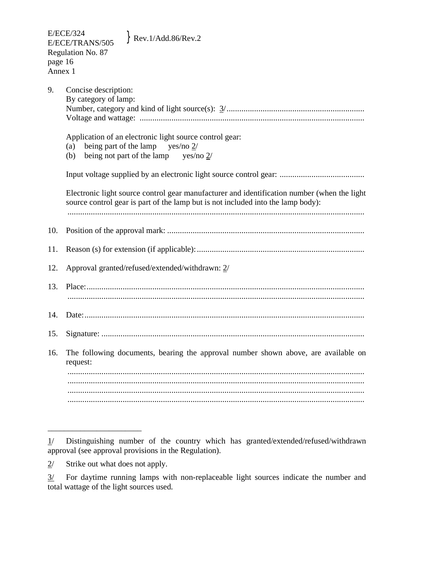| 9.  | Concise description:                                                                                                                                                            |  |  |
|-----|---------------------------------------------------------------------------------------------------------------------------------------------------------------------------------|--|--|
|     | By category of lamp:                                                                                                                                                            |  |  |
|     |                                                                                                                                                                                 |  |  |
|     |                                                                                                                                                                                 |  |  |
|     | Application of an electronic light source control gear:<br>being part of the lamp<br>yes/no 2/<br>(a)<br>being not part of the lamp<br>yes/no $2/$<br>(b)                       |  |  |
|     |                                                                                                                                                                                 |  |  |
|     |                                                                                                                                                                                 |  |  |
|     | Electronic light source control gear manufacturer and identification number (when the light<br>source control gear is part of the lamp but is not included into the lamp body): |  |  |
|     |                                                                                                                                                                                 |  |  |
| 10. |                                                                                                                                                                                 |  |  |
|     |                                                                                                                                                                                 |  |  |
| 11. |                                                                                                                                                                                 |  |  |
| 12. | Approval granted/refused/extended/withdrawn: 2/                                                                                                                                 |  |  |
| 13. |                                                                                                                                                                                 |  |  |
|     |                                                                                                                                                                                 |  |  |
|     |                                                                                                                                                                                 |  |  |
| 14. |                                                                                                                                                                                 |  |  |
|     |                                                                                                                                                                                 |  |  |
| 15. |                                                                                                                                                                                 |  |  |
| 16. | The following documents, bearing the approval number shown above, are available on<br>request:                                                                                  |  |  |
|     |                                                                                                                                                                                 |  |  |
|     |                                                                                                                                                                                 |  |  |
|     |                                                                                                                                                                                 |  |  |
|     |                                                                                                                                                                                 |  |  |

\_\_\_\_\_\_\_\_\_\_\_\_\_\_\_\_\_\_\_\_\_\_\_

<sup>1/</sup> Distinguishing number of the country which has granted/extended/refused/withdrawn approval (see approval provisions in the Regulation).

 $2^{\prime}$  Strike out what does not apply.

<sup>3/</sup> For daytime running lamps with non-replaceable light sources indicate the number and total wattage of the light sources used.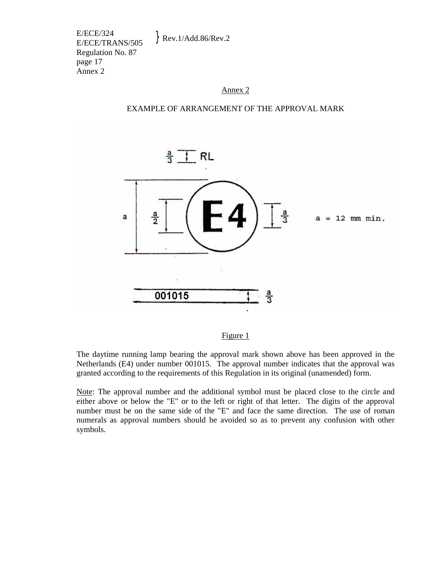E/ECE/324  $E/ECE/324$ <br>E/ECE/TRANS/505 Rev.1/Add.86/Rev.2 Regulation No. 87 page 17 Annex 2

### Annex 2

#### EXAMPLE OF ARRANGEMENT OF THE APPROVAL MARK



### Figure 1

The daytime running lamp bearing the approval mark shown above has been approved in the Netherlands (E4) under number 001015. The approval number indicates that the approval was granted according to the requirements of this Regulation in its original (unamended) form.

Note: The approval number and the additional symbol must be placed close to the circle and either above or below the "E" or to the left or right of that letter. The digits of the approval number must be on the same side of the "E" and face the same direction. The use of roman numerals as approval numbers should be avoided so as to prevent any confusion with other symbols.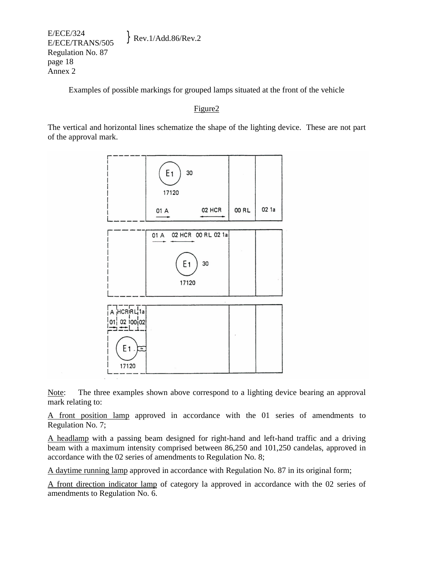E/ECE/324  $E/ECE/324$ <br>E/ECE/TRANS/505 Rev.1/Add.86/Rev.2 Regulation No. 87 page 18 Annex 2

Examples of possible markings for grouped lamps situated at the front of the vehicle

## Figure2

The vertical and horizontal lines schematize the shape of the lighting device. These are not part of the approval mark.



Note: The three examples shown above correspond to a lighting device bearing an approval mark relating to:

A front position lamp approved in accordance with the 01 series of amendments to Regulation No. 7;

A headlamp with a passing beam designed for right-hand and left-hand traffic and a driving beam with a maximum intensity comprised between 86,250 and 101,250 candelas, approved in accordance with the 02 series of amendments to Regulation No. 8;

A daytime running lamp approved in accordance with Regulation No. 87 in its original form;

A front direction indicator lamp of category la approved in accordance with the 02 series of amendments to Regulation No. 6.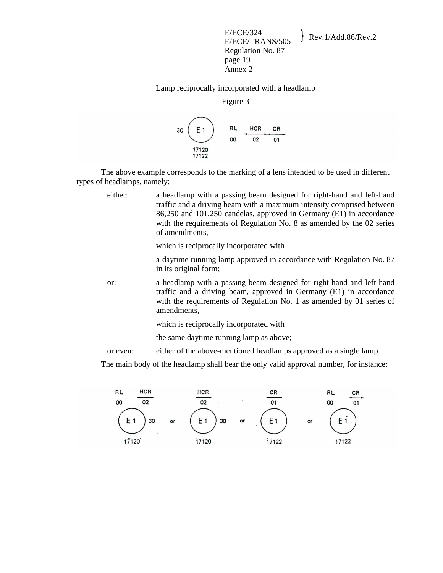E/ECE/324  $E/ECE/324$ <br>E/ECE/TRANS/505 Rev.1/Add.86/Rev.2 Regulation No. 87 page 19 Annex 2

Lamp reciprocally incorporated with a headlamp



 The above example corresponds to the marking of a lens intended to be used in different types of headlamps, namely:

either: a headlamp with a passing beam designed for right-hand and left-hand traffic and a driving beam with a maximum intensity comprised between 86,250 and 101,250 candelas, approved in Germany (E1) in accordance with the requirements of Regulation No. 8 as amended by the 02 series of amendments,

which is reciprocally incorporated with

a daytime running lamp approved in accordance with Regulation No. 87 in its original form;

or: a headlamp with a passing beam designed for right-hand and left-hand traffic and a driving beam, approved in Germany (E1) in accordance with the requirements of Regulation No. 1 as amended by 01 series of amendments,

which is reciprocally incorporated with

the same daytime running lamp as above;

or even: either of the above-mentioned headlamps approved as a single lamp.

The main body of the headlamp shall bear the only valid approval number, for instance:

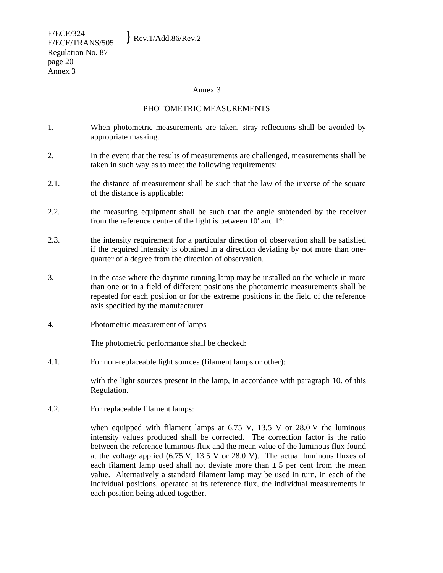E/ECE/324  $E/ECE/524$ <br>E/ECE/TRANS/505 Rev.1/Add.86/Rev.2 Regulation No. 87 page 20 Annex 3

### Annex 3

### PHOTOMETRIC MEASUREMENTS

- 1. When photometric measurements are taken, stray reflections shall be avoided by appropriate masking.
- 2. In the event that the results of measurements are challenged, measurements shall be taken in such way as to meet the following requirements:
- 2.1. the distance of measurement shall be such that the law of the inverse of the square of the distance is applicable:
- 2.2. the measuring equipment shall be such that the angle subtended by the receiver from the reference centre of the light is between 10' and 1°:
- 2.3. the intensity requirement for a particular direction of observation shall be satisfied if the required intensity is obtained in a direction deviating by not more than onequarter of a degree from the direction of observation.
- 3. In the case where the daytime running lamp may be installed on the vehicle in more than one or in a field of different positions the photometric measurements shall be repeated for each position or for the extreme positions in the field of the reference axis specified by the manufacturer.
- 4. Photometric measurement of lamps

The photometric performance shall be checked:

4.1. For non-replaceable light sources (filament lamps or other):

 with the light sources present in the lamp, in accordance with paragraph 10. of this Regulation.

4.2. For replaceable filament lamps:

 when equipped with filament lamps at 6.75 V, 13.5 V or 28.0 V the luminous intensity values produced shall be corrected. The correction factor is the ratio between the reference luminous flux and the mean value of the luminous flux found at the voltage applied (6.75 V, 13.5 V or 28.0 V). The actual luminous fluxes of each filament lamp used shall not deviate more than  $\pm$  5 per cent from the mean value. Alternatively a standard filament lamp may be used in turn, in each of the individual positions, operated at its reference flux, the individual measurements in each position being added together.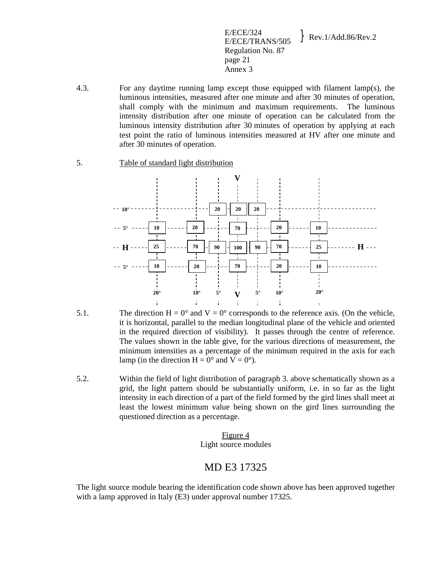E/ECE/324  $E/ECE/324$ <br>E/ECE/TRANS/505 Rev.1/Add.86/Rev.2 Regulation No. 87 page 21 Annex 3

- 4.3. For any daytime running lamp except those equipped with filament lamp(s), the luminous intensities, measured after one minute and after 30 minutes of operation, shall comply with the minimum and maximum requirements. The luminous intensity distribution after one minute of operation can be calculated from the luminous intensity distribution after 30 minutes of operation by applying at each test point the ratio of luminous intensities measured at HV after one minute and after 30 minutes of operation.
- 5. Table of standard light distribution



- 5.1. The direction  $H = 0^{\circ}$  and  $V = 0^{\circ}$  corresponds to the reference axis. (On the vehicle, it is horizontal, parallel to the median longitudinal plane of the vehicle and oriented in the required direction of visibility). It passes through the centre of reference. The values shown in the table give, for the various directions of measurement, the minimum intensities as a percentage of the minimum required in the axis for each lamp (in the direction  $H = 0^{\circ}$  and  $V = 0^{\circ}$ ).
- 5.2. Within the field of light distribution of paragraph 3. above schematically shown as a grid, the light pattern should be substantially uniform, i.e. in so far as the light intensity in each direction of a part of the field formed by the gird lines shall meet at least the lowest minimum value being shown on the gird lines surrounding the questioned direction as a percentage.

Figure 4 Light source modules

# MD E3 17325

The light source module bearing the identification code shown above has been approved together with a lamp approved in Italy (E3) under approval number 17325.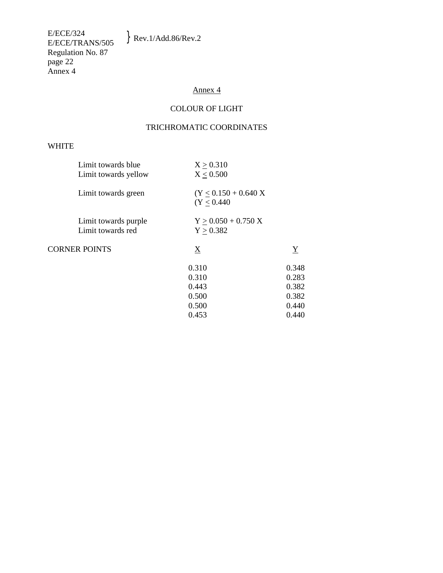$\}$  Rev.1/Add.86/Rev.2

E/ECE/324<br>E/ECE/TRANS/505 Regulation No. 87 page 22 Annex 4

# Annex 4

# COLOUR OF LIGHT

# TRICHROMATIC COORDINATES

### WHITE

| Limit towards blue<br>Limit towards yellow | X > 0.310<br>X < 0.500                 |                 |
|--------------------------------------------|----------------------------------------|-----------------|
| Limit towards green                        | $(Y < 0.150 + 0.640 X)$<br>(Y < 0.440) |                 |
| Limit towards purple<br>Limit towards red  | $Y > 0.050 + 0.750 X$<br>Y > 0.382     |                 |
| <b>CORNER POINTS</b>                       | $\underline{X}$                        | $\underline{Y}$ |
|                                            | 0.310                                  | 0.348           |
|                                            | 0.310                                  | 0.283           |
|                                            | 0.443                                  | 0.382           |
|                                            | 0.500                                  | 0.382           |
|                                            | 0.500                                  | 0.440           |
|                                            | 0.453                                  | 0.440           |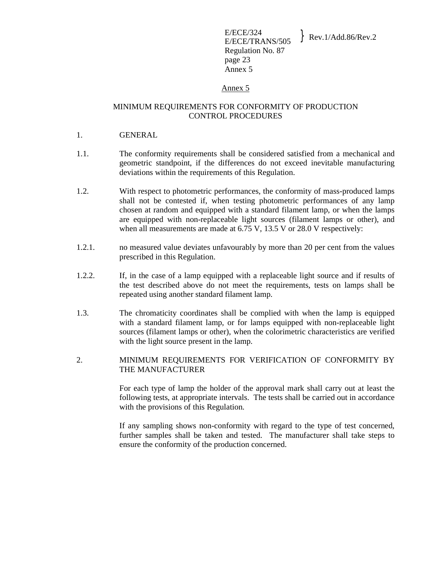### Annex 5

## MINIMUM REQUIREMENTS FOR CONFORMITY OF PRODUCTION CONTROL PROCEDURES

- 1. GENERAL
- 1.1. The conformity requirements shall be considered satisfied from a mechanical and geometric standpoint, if the differences do not exceed inevitable manufacturing deviations within the requirements of this Regulation.
- 1.2. With respect to photometric performances, the conformity of mass-produced lamps shall not be contested if, when testing photometric performances of any lamp chosen at random and equipped with a standard filament lamp, or when the lamps are equipped with non-replaceable light sources (filament lamps or other), and when all measurements are made at 6.75 V, 13.5 V or 28.0 V respectively:
- 1.2.1. no measured value deviates unfavourably by more than 20 per cent from the values prescribed in this Regulation.
- 1.2.2. If, in the case of a lamp equipped with a replaceable light source and if results of the test described above do not meet the requirements, tests on lamps shall be repeated using another standard filament lamp.
- 1.3. The chromaticity coordinates shall be complied with when the lamp is equipped with a standard filament lamp, or for lamps equipped with non-replaceable light sources (filament lamps or other), when the colorimetric characteristics are verified with the light source present in the lamp.
- 2. MINIMUM REQUIREMENTS FOR VERIFICATION OF CONFORMITY BY THE MANUFACTURER

 For each type of lamp the holder of the approval mark shall carry out at least the following tests, at appropriate intervals. The tests shall be carried out in accordance with the provisions of this Regulation.

 If any sampling shows non-conformity with regard to the type of test concerned, further samples shall be taken and tested. The manufacturer shall take steps to ensure the conformity of the production concerned.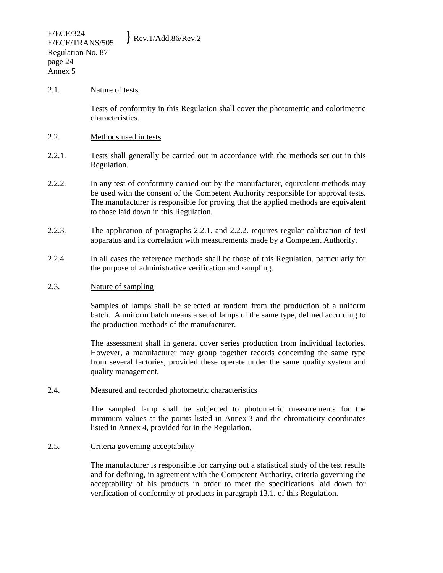### 2.1. Nature of tests

 Tests of conformity in this Regulation shall cover the photometric and colorimetric characteristics.

### 2.2. Methods used in tests

- 2.2.1. Tests shall generally be carried out in accordance with the methods set out in this Regulation.
- 2.2.2. In any test of conformity carried out by the manufacturer, equivalent methods may be used with the consent of the Competent Authority responsible for approval tests. The manufacturer is responsible for proving that the applied methods are equivalent to those laid down in this Regulation.
- 2.2.3. The application of paragraphs 2.2.1. and 2.2.2. requires regular calibration of test apparatus and its correlation with measurements made by a Competent Authority.
- 2.2.4. In all cases the reference methods shall be those of this Regulation, particularly for the purpose of administrative verification and sampling.

### 2.3. Nature of sampling

 Samples of lamps shall be selected at random from the production of a uniform batch. A uniform batch means a set of lamps of the same type, defined according to the production methods of the manufacturer.

 The assessment shall in general cover series production from individual factories. However, a manufacturer may group together records concerning the same type from several factories, provided these operate under the same quality system and quality management.

### 2.4. Measured and recorded photometric characteristics

 The sampled lamp shall be subjected to photometric measurements for the minimum values at the points listed in Annex 3 and the chromaticity coordinates listed in Annex 4, provided for in the Regulation.

## 2.5. Criteria governing acceptability

 The manufacturer is responsible for carrying out a statistical study of the test results and for defining, in agreement with the Competent Authority, criteria governing the acceptability of his products in order to meet the specifications laid down for verification of conformity of products in paragraph 13.1. of this Regulation.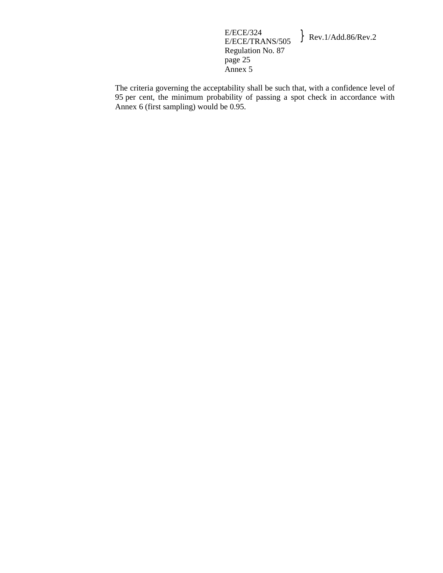E/ECE/324  $E/ECE/324$ <br>E/ECE/TRANS/505 Rev.1/Add.86/Rev.2 Regulation No. 87 page 25 Annex 5

The criteria governing the acceptability shall be such that, with a confidence level of 95 per cent, the minimum probability of passing a spot check in accordance with Annex 6 (first sampling) would be 0.95.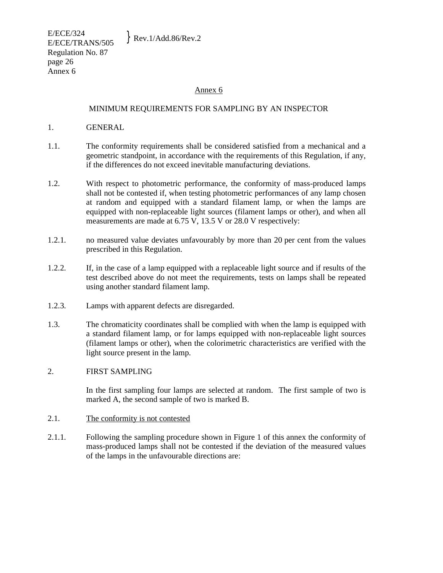### Annex 6

### MINIMUM REQUIREMENTS FOR SAMPLING BY AN INSPECTOR

- 1. GENERAL
- 1.1. The conformity requirements shall be considered satisfied from a mechanical and a geometric standpoint, in accordance with the requirements of this Regulation, if any, if the differences do not exceed inevitable manufacturing deviations.
- 1.2. With respect to photometric performance, the conformity of mass-produced lamps shall not be contested if, when testing photometric performances of any lamp chosen at random and equipped with a standard filament lamp, or when the lamps are equipped with non-replaceable light sources (filament lamps or other), and when all measurements are made at 6.75 V, 13.5 V or 28.0 V respectively:
- 1.2.1. no measured value deviates unfavourably by more than 20 per cent from the values prescribed in this Regulation.
- 1.2.2. If, in the case of a lamp equipped with a replaceable light source and if results of the test described above do not meet the requirements, tests on lamps shall be repeated using another standard filament lamp.
- 1.2.3. Lamps with apparent defects are disregarded.
- 1.3. The chromaticity coordinates shall be complied with when the lamp is equipped with a standard filament lamp, or for lamps equipped with non-replaceable light sources (filament lamps or other), when the colorimetric characteristics are verified with the light source present in the lamp.

### 2. FIRST SAMPLING

In the first sampling four lamps are selected at random. The first sample of two is marked A, the second sample of two is marked B.

### 2.1. The conformity is not contested

2.1.1. Following the sampling procedure shown in Figure 1 of this annex the conformity of mass-produced lamps shall not be contested if the deviation of the measured values of the lamps in the unfavourable directions are: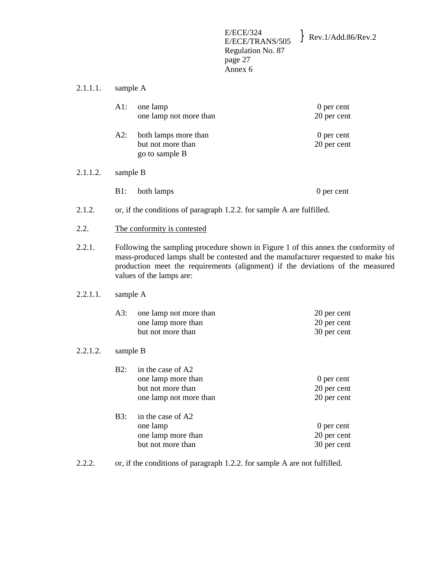E/ECE/324<br>E/ECE/TRANS/505  $\}$  Rev.1/Add.86/Rev.2 Regulation No. 87 page 27 Annex 6

2.1.1.1. sample A

|          | $A1$ :                                                                                                                                                                                                                                                                                | one lamp<br>one lamp not more than                                                     | 0 per cent<br>20 per cent                 |
|----------|---------------------------------------------------------------------------------------------------------------------------------------------------------------------------------------------------------------------------------------------------------------------------------------|----------------------------------------------------------------------------------------|-------------------------------------------|
|          | A2:                                                                                                                                                                                                                                                                                   | both lamps more than<br>but not more than<br>go to sample B                            | 0 per cent<br>20 per cent                 |
| 2.1.1.2. | sample B                                                                                                                                                                                                                                                                              |                                                                                        |                                           |
|          | $B1$ :                                                                                                                                                                                                                                                                                | both lamps                                                                             | 0 per cent                                |
| 2.1.2.   |                                                                                                                                                                                                                                                                                       | or, if the conditions of paragraph 1.2.2. for sample A are fulfilled.                  |                                           |
| 2.2.     | The conformity is contested                                                                                                                                                                                                                                                           |                                                                                        |                                           |
| 2.2.1.   | Following the sampling procedure shown in Figure 1 of this annex the conformity of<br>mass-produced lamps shall be contested and the manufacturer requested to make his<br>production meet the requirements (alignment) if the deviations of the measured<br>values of the lamps are: |                                                                                        |                                           |
| 2.2.1.1. | sample A                                                                                                                                                                                                                                                                              |                                                                                        |                                           |
|          | A3:                                                                                                                                                                                                                                                                                   | one lamp not more than<br>one lamp more than<br>but not more than                      | 20 per cent<br>20 per cent<br>30 per cent |
| 2.2.1.2. | sample B                                                                                                                                                                                                                                                                              |                                                                                        |                                           |
|          | B2:                                                                                                                                                                                                                                                                                   | in the case of A2<br>one lamp more than<br>but not more than<br>one lamp not more than | 0 per cent<br>20 per cent<br>20 per cent  |

B3: in the case of A2 one lamp<br>
one lamp<br>
one than<br>  $20$  per cent<br>  $20$  per cent one lamp more than 20 per cent<br>but not more than 30 per cent but not more than

2.2.2. or, if the conditions of paragraph 1.2.2. for sample A are not fulfilled.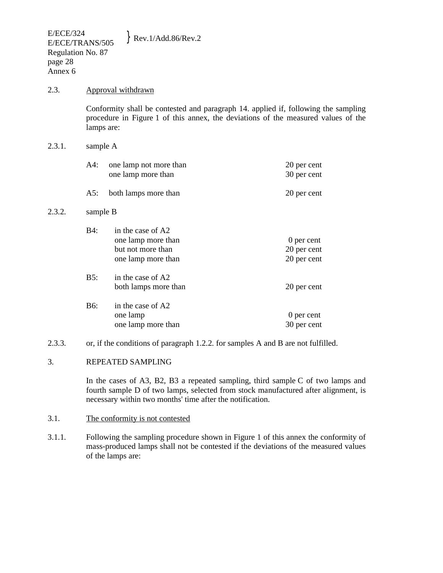### 2.3. Approval withdrawn

Conformity shall be contested and paragraph 14. applied if, following the sampling procedure in Figure 1 of this annex, the deviations of the measured values of the lamps are:

### 2.3.1. sample A

| A4: | one lamp not more than<br>one lamp more than | 20 per cent<br>30 per cent |
|-----|----------------------------------------------|----------------------------|
| A5: | both lamps more than                         | 20 per cent                |

## 2.3.2. sample B

| <b>B4:</b> | in the case of A2<br>one lamp more than<br>but not more than<br>one lamp more than | 0 per cent<br>20 per cent<br>20 per cent |
|------------|------------------------------------------------------------------------------------|------------------------------------------|
| B5:        | in the case of A2<br>both lamps more than                                          | 20 per cent                              |
| <b>B6:</b> | in the case of A2<br>one lamp<br>one lamp more than                                | 0 per cent<br>30 per cent                |

2.3.3. or, if the conditions of paragraph 1.2.2. for samples A and B are not fulfilled.

# 3. REPEATED SAMPLING

In the cases of A3, B2, B3 a repeated sampling, third sample C of two lamps and fourth sample D of two lamps, selected from stock manufactured after alignment, is necessary within two months' time after the notification.

# 3.1. The conformity is not contested

3.1.1. Following the sampling procedure shown in Figure 1 of this annex the conformity of mass-produced lamps shall not be contested if the deviations of the measured values of the lamps are: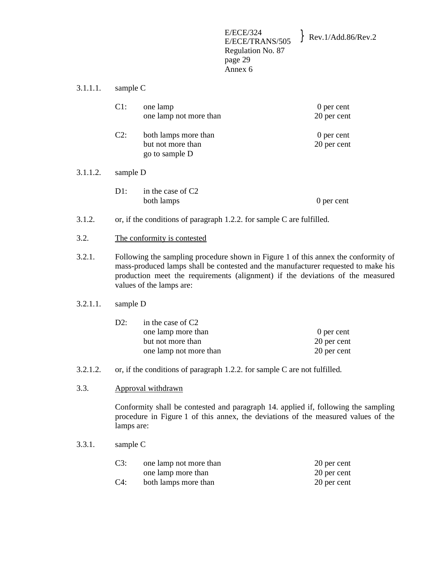E/ECE/324  $E/ECE/324$ <br>E/ECE/TRANS/505 Rev.1/Add.86/Rev.2 Regulation No. 87 page 29 Annex 6

## 3.1.1.1. sample C

|          | $C1$ :                                                                | one lamp<br>one lamp not more than                          | 0 per cent<br>20 per cent |
|----------|-----------------------------------------------------------------------|-------------------------------------------------------------|---------------------------|
|          | $C2$ :                                                                | both lamps more than<br>but not more than<br>go to sample D | 0 per cent<br>20 per cent |
| 3.1.1.2. | sample D                                                              |                                                             |                           |
|          | D1:                                                                   | in the case of $C2$<br>both lamps                           | 0 per cent                |
| 3.1.2.   | or, if the conditions of paragraph 1.2.2. for sample C are fulfilled. |                                                             |                           |

- 
- 3.2. The conformity is contested
- 3.2.1. Following the sampling procedure shown in Figure 1 of this annex the conformity of mass-produced lamps shall be contested and the manufacturer requested to make his production meet the requirements (alignment) if the deviations of the measured values of the lamps are:

### 3.2.1.1. sample D

| D2: | in the case of $C2$    |             |
|-----|------------------------|-------------|
|     | one lamp more than     | 0 per cent  |
|     | but not more than      | 20 per cent |
|     | one lamp not more than | 20 per cent |

- 3.2.1.2. or, if the conditions of paragraph 1.2.2. for sample C are not fulfilled.
- 3.3. Approval withdrawn

Conformity shall be contested and paragraph 14. applied if, following the sampling procedure in Figure 1 of this annex, the deviations of the measured values of the lamps are:

3.3.1. sample C

| C3:    | one lamp not more than | 20 per cent |
|--------|------------------------|-------------|
|        | one lamp more than     | 20 per cent |
| $C4$ : | both lamps more than   | 20 per cent |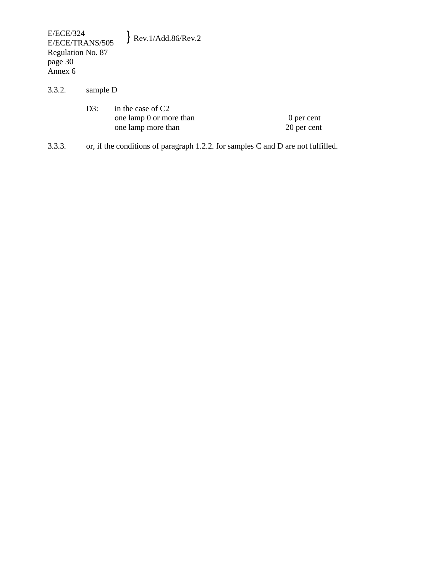E/ECE/324<br>E/ECE/TRANS/505  $\}$  Rev.1/Add.86/Rev.2 Regulation No. 87 page 30 Annex 6

3.3.2. sample D

| D3: | in the case of $C2$     |             |
|-----|-------------------------|-------------|
|     | one lamp 0 or more than | 0 per cent  |
|     | one lamp more than      | 20 per cent |

3.3.3. or, if the conditions of paragraph 1.2.2. for samples C and D are not fulfilled.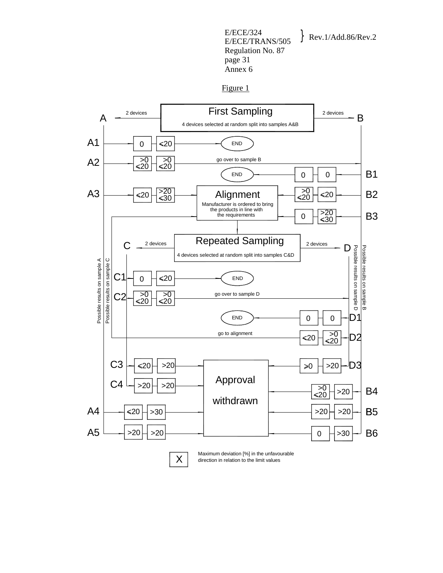E/ECE/324  $E/ECE/324$ <br>E/ECE/TRANS/505 Rev.1/Add.86/Rev.2 Regulation No. 87 page 31 Annex 6

Figure 1

![](_page_30_Figure_3.jpeg)

direction in relation to the limit values